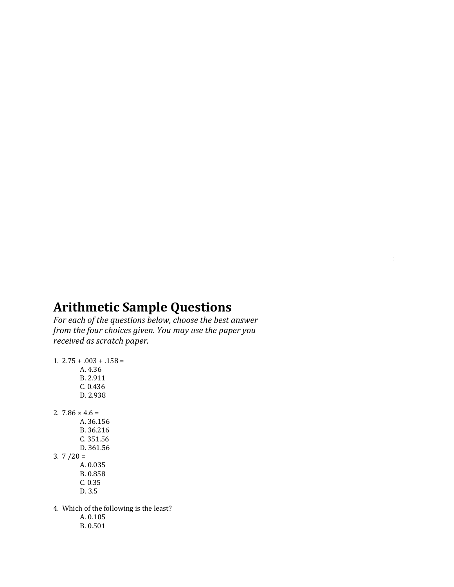## **Arithmetic Sample Questions**

*For each of the questions below, choose the best answer from the four choices given. You may use the paper you received as scratch paper.*

 $3.3.$  Applications and problem solving: Topics include rate, percent, and measurement problems;

```
1. 2.75 + .003 + .158 =A. 4.36
        B. 2.911
        C. 0.436
        D. 2.938
2. 7.86 \times 4.6 =A. 36.156
        B. 36.216
        C. 351.56
        D. 361.56
3. 7/20 =A. 0.035
        B. 0.858
        C. 0.35
        D. 3.5
4. Which of the following is the least?
        A. 0.105
        B. 0.501
```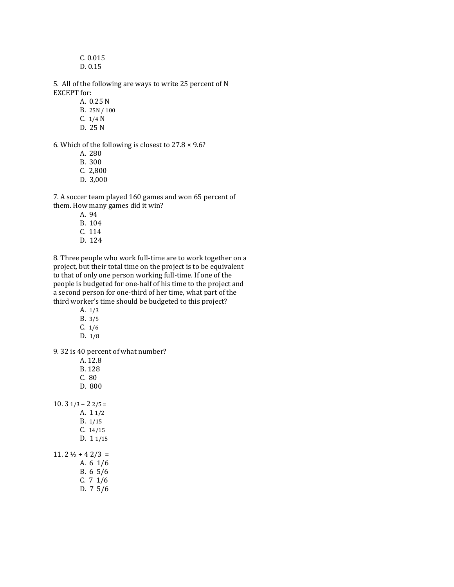C. 0.015 D. 0.15

5. All of the following are ways to write 25 percent of N EXCEPT for:

A. 0.25 N

- B. 25N / 100
- C. 1/4 N
- D. 25 N

6. Which of the following is closest to 27.8 × 9.6?

- A. 280
- B. 300
- C. 2,800
- D. 3,000

7. A soccer team played 160 games and won 65 percent of them. How many games did it win?

- A. 94
- B. 104
- C. 114
- D. 124

8. Three people who work full-time are to work together on a project, but their total time on the project is to be equivalent to that of only one person working full-time. If one of the people is budgeted for one-half of his time to the project and a second person for one-third of her time, what part of the third worker's time should be budgeted to this project?

- A. 1/3
- B. 3/5
- C. 1/6
- D. 1/8

9. 32 is 40 percent of what number?

| A. 12.8                            |
|------------------------------------|
| B. 128                             |
| C.80                               |
| D. 800                             |
|                                    |
| $10.31/3 - 22/5 =$                 |
| A. 1 1/2                           |
| B. 1/15                            |
| C. 14/15                           |
| D. 11/15                           |
|                                    |
| $11.2\frac{1}{2} + 4\frac{2}{3} =$ |
| A. 6 1/6                           |
| B. 65/6                            |
| C. 71/6                            |
| D. 75/6                            |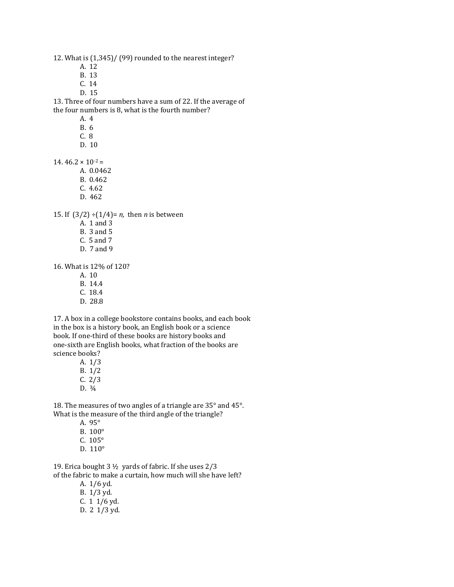12. What is (1,345)/ (99) rounded to the nearest integer?

- A. 12
- B. 13
- C. 14
- D. 15

13. Three of four numbers have a sum of 22. If the average of the four numbers is 8, what is the fourth number?

- A. 4
- B. 6
- C. 8
- D. 10

14.  $46.2 \times 10^{-2}$  =

- A. 0.0462 B. 0.462 C. 4.62
- D. 462

15. If  $(3/2) \div (1/4) = n$ , then *n* is between

- A. 1 and 3
- B. 3 and 5
- C. 5 and 7
- D. 7 and 9

16. What is 12% of 120?

- A. 10
- B. 14.4
- C. 18.4
- D. 28.8

17. A box in a college bookstore contains books, and each book in the box is a history book, an English book or a science book. If one-third of these books are history books and one-sixth are English books, what fraction of the books are science books?

- A. 1/3 B. 1/2  $C. 2/3$
- D.  $\frac{3}{4}$
- 

18. The measures of two angles of a triangle are 35° and 45°. What is the measure of the third angle of the triangle?

- A. 95°
- B. 100°
- C. 105°
- D. 110°

19. Erica bought 3 ½ yards of fabric. If she uses 2/3 of the fabric to make a curtain, how much will she have left?

- A. 1/6 yd.
- B. 1/3 yd.
- C. 1 1/6 yd.
- D. 2 1/3 yd.